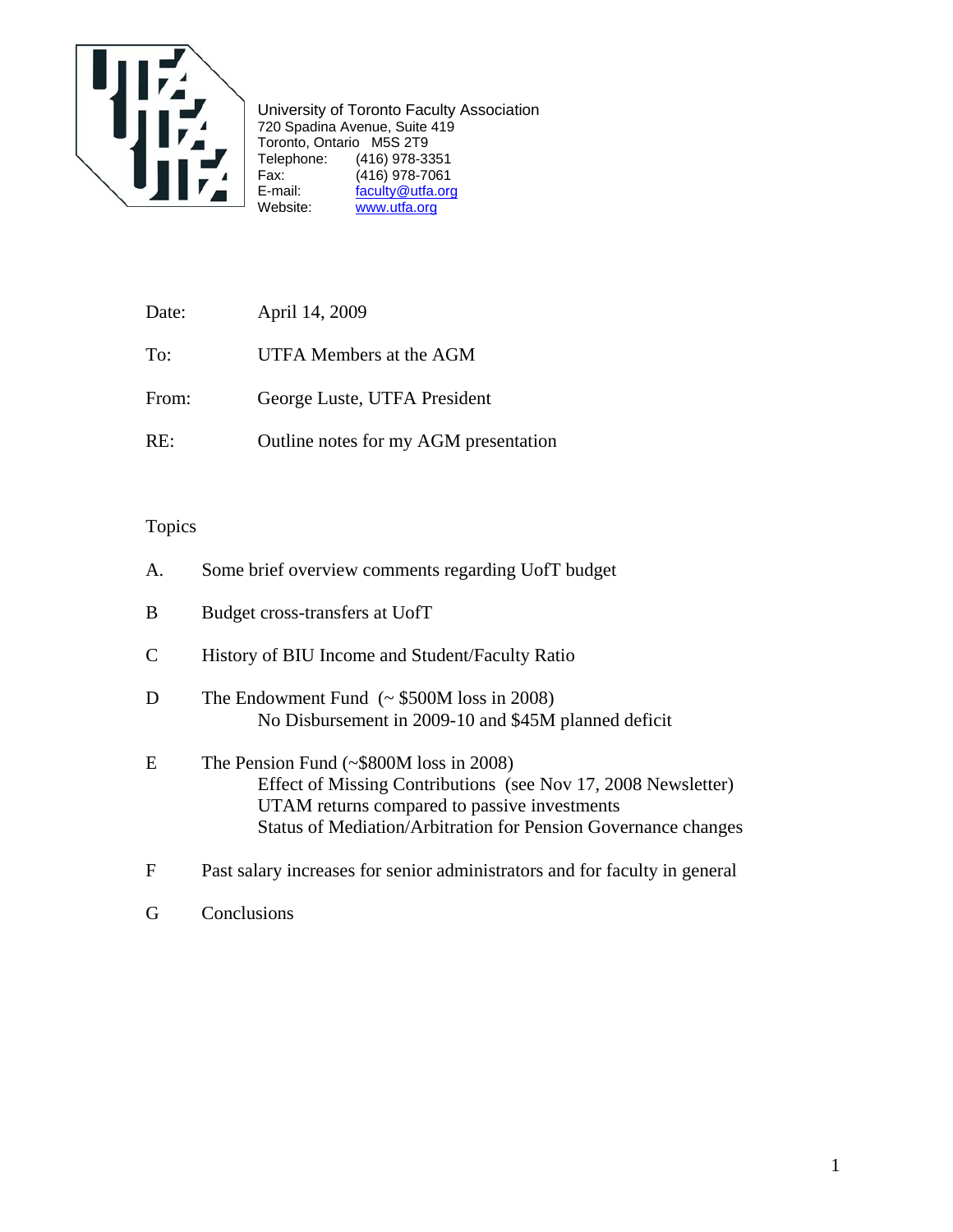

University of Toronto Faculty Association 720 Spadina Avenue, Suite 419 Toronto, Ontario M5S 2T9 Telephone: (416) 978-3351 Fax: (416) 978-7061 E-mail: faculty@utfa.org Website: www.utfa.org

| Date: | April 14, 2009                        |
|-------|---------------------------------------|
| To:   | UTFA Members at the AGM               |
| From: | George Luste, UTFA President          |
| RE:   | Outline notes for my AGM presentation |

# Topics

| A.          | Some brief overview comments regarding UofT budget                                                                                                                                                                              |
|-------------|---------------------------------------------------------------------------------------------------------------------------------------------------------------------------------------------------------------------------------|
| B           | Budget cross-transfers at UofT                                                                                                                                                                                                  |
| C           | History of BIU Income and Student/Faculty Ratio                                                                                                                                                                                 |
| D           | The Endowment Fund $({\sim}$ \$500M loss in 2008)<br>No Disbursement in 2009-10 and \$45M planned deficit                                                                                                                       |
| E           | The Pension Fund $(\sim $800M$ loss in 2008)<br>Effect of Missing Contributions (see Nov 17, 2008 Newsletter)<br>UTAM returns compared to passive investments<br>Status of Mediation/Arbitration for Pension Governance changes |
| $\mathbf F$ | Past salary increases for senior administrators and for faculty in general                                                                                                                                                      |

G Conclusions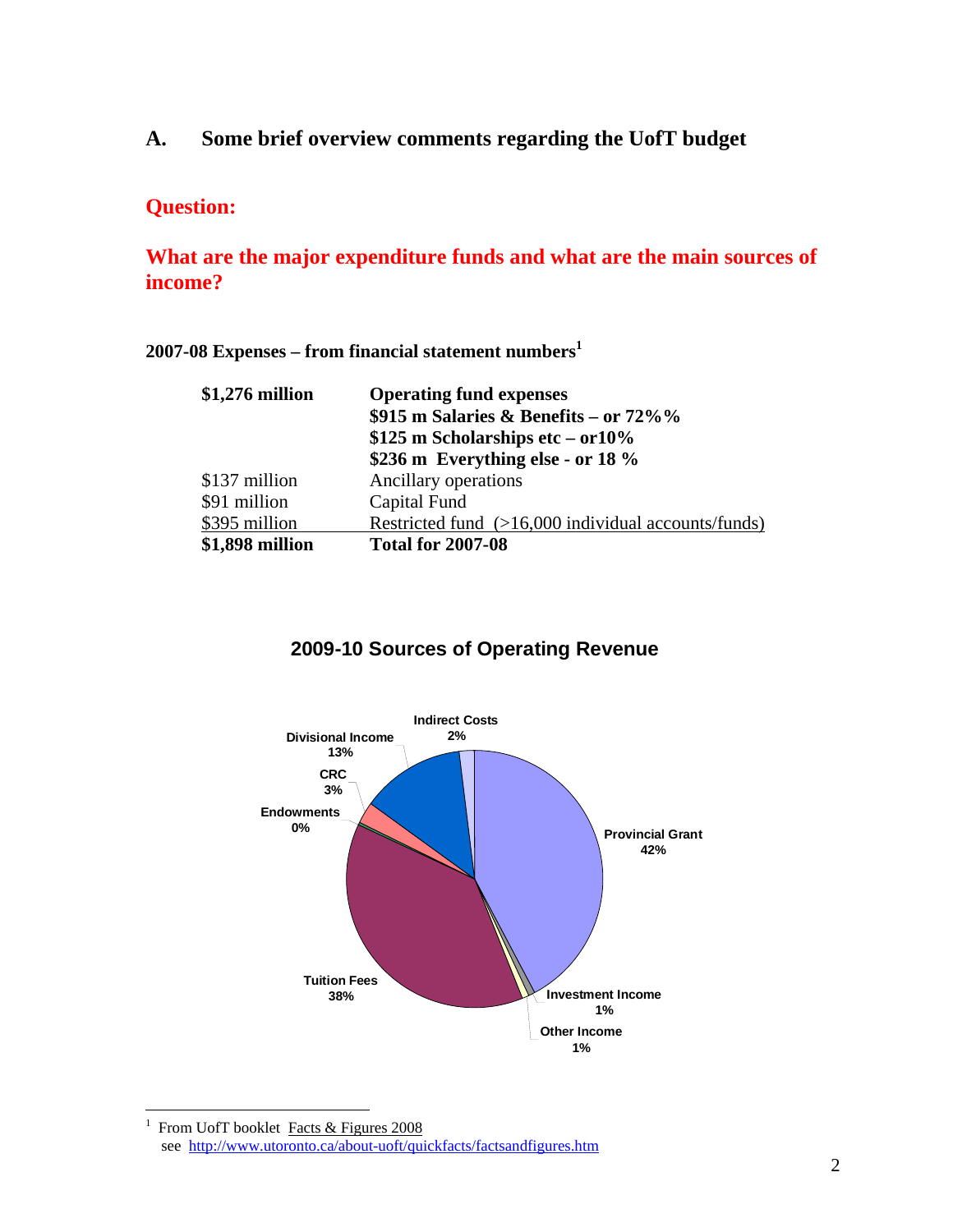**A. Some brief overview comments regarding the UofT budget** 

# **Question:**

# **What are the major expenditure funds and what are the main sources of income?**

### **2007-08 Expenses – from financial statement numbers1**

| \$1,276 million | <b>Operating fund expenses</b><br>\$915 m Salaries & Benefits – or $72\%$ %<br>$$125$ m Scholarships etc – or $10\%$<br>\$236 m Everything else - or 18 $\%$ |  |  |  |  |
|-----------------|--------------------------------------------------------------------------------------------------------------------------------------------------------------|--|--|--|--|
| \$137 million   | Ancillary operations                                                                                                                                         |  |  |  |  |
| \$91 million    | Capital Fund                                                                                                                                                 |  |  |  |  |
| \$395 million   | Restricted fund (>16,000 individual accounts/funds)                                                                                                          |  |  |  |  |
| \$1,898 million | <b>Total for 2007-08</b>                                                                                                                                     |  |  |  |  |

# **2009-10 Sources of Operating Revenue**



 $\frac{1}{1}$  From UofT booklet Facts & Figures 2008 see http://www.utoronto.ca/about-uoft/quickfacts/factsandfigures.htm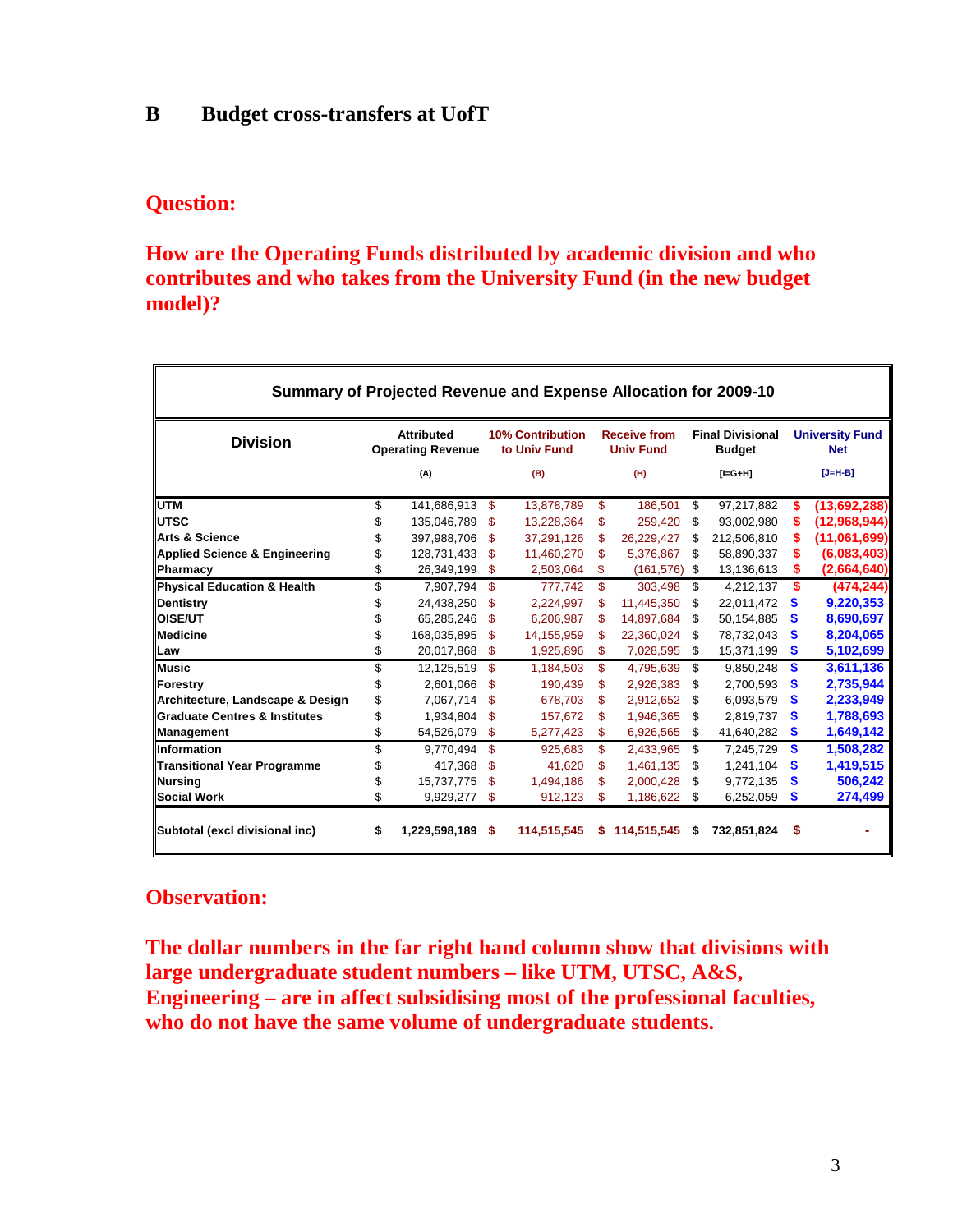# **B Budget cross-transfers at UofT**

## **Question:**

# **How are the Operating Funds distributed by academic division and who contributes and who takes from the University Fund (in the new budget model)?**

| Summary of Projected Revenue and Expense Allocation for 2009-10 |    |                                               |      |                                         |    |                                         |    |                                          |    |                                      |  |
|-----------------------------------------------------------------|----|-----------------------------------------------|------|-----------------------------------------|----|-----------------------------------------|----|------------------------------------------|----|--------------------------------------|--|
| <b>Division</b>                                                 |    | <b>Attributed</b><br><b>Operating Revenue</b> |      | <b>10% Contribution</b><br>to Univ Fund |    | <b>Receive from</b><br><b>Univ Fund</b> |    | <b>Final Divisional</b><br><b>Budget</b> |    | <b>University Fund</b><br><b>Net</b> |  |
|                                                                 |    | (A)                                           |      | (B)                                     |    | (H)                                     |    | $[I=G+H]$                                |    | $[J=H-B]$                            |  |
| <b>UTM</b>                                                      | \$ | 141,686,913                                   | S.   | 13,878,789                              | \$ | 186,501                                 | \$ | 97,217,882                               | S  | (13,692,288)                         |  |
| <b>IUTSC</b>                                                    | \$ | 135,046,789                                   | \$   | 13,228,364                              | \$ | 259,420                                 | S  | 93,002,980                               |    | (12,968,944)                         |  |
| <b>Arts &amp; Science</b>                                       | \$ | 397,988,706                                   | S    | 37,291,126                              | S  | 26,229,427                              | S  | 212,506,810                              |    | (11,061,699)                         |  |
| Applied Science & Engineering                                   | \$ | 128,731,433                                   | \$.  | 11,460,270                              | \$ | 5,376,867                               | S  | 58,890,337                               |    | (6,083,403)                          |  |
| Pharmacy                                                        | \$ | 26,349,199                                    | \$   | 2,503,064                               | \$ | (161, 576)                              | \$ | 13,136,613                               | S  | (2,664,640)                          |  |
| Physical Education & Health                                     | \$ | 7.907.794                                     | \$   | 777.742                                 | \$ | 303.498                                 | \$ | 4,212,137                                | S  | (474, 244)                           |  |
| Dentistry                                                       | \$ | 24,438,250                                    | S    | 2,224,997                               | S  | 11,445,350                              | \$ | 22,011,472                               | S  | 9,220,353                            |  |
| <b>OISE/UT</b>                                                  | \$ | 65,285,246                                    | S    | 6,206,987                               | S  | 14,897,684                              | \$ | 50,154,885                               | S  | 8,690,697                            |  |
| <b>Medicine</b>                                                 | \$ | 168,035,895                                   | S    | 14,155,959                              | S  | 22,360,024                              | S  | 78,732,043                               | S  | 8,204,065                            |  |
| Law                                                             | \$ | 20,017,868                                    | \$   | 1,925,896                               | \$ | 7,028,595                               | \$ | 15,371,199                               | S  | 5,102,699                            |  |
| <b>Music</b>                                                    | \$ | 12,125,519                                    | \$   | 1,184,503                               | \$ | 4,795,639                               | \$ | 9,850,248                                | S  | 3,611,136                            |  |
| Forestry                                                        | \$ | 2,601,066                                     | \$.  | 190,439                                 | \$ | 2,926,383                               | \$ | 2,700,593                                | S  | 2,735,944                            |  |
| Architecture, Landscape & Design                                | \$ | 7.067.714                                     | S    | 678.703                                 | \$ | 2.912.652                               | \$ | 6,093,579                                | S  | 2,233,949                            |  |
| <b>Graduate Centres &amp; Institutes</b>                        | \$ | 1,934,804                                     | \$   | 157,672                                 | \$ | 1,946,365                               | \$ | 2,819,737                                | S  | 1,788,693                            |  |
| Management                                                      | \$ | 54,526,079                                    | \$   | 5,277,423                               | \$ | 6,926,565                               | \$ | 41,640,282                               | \$ | 1,649,142                            |  |
| <b>Information</b>                                              | \$ | 9,770,494                                     | \$.  | 925,683                                 | \$ | 2,433,965                               | \$ | 7,245,729                                | S  | 1,508,282                            |  |
| <b>Transitional Year Programme</b>                              | \$ | 417,368                                       | S    | 41,620                                  | \$ | 1,461,135                               | \$ | 1,241,104                                | S  | 1,419,515                            |  |
| Nursing                                                         | \$ | 15,737,775                                    | \$   | 1,494,186                               | S  | 2,000,428                               | S  | 9,772,135                                | S  | 506,242                              |  |
| <b>Social Work</b>                                              | \$ | 9,929,277                                     | \$   | 912,123                                 | \$ | 1,186,622                               | \$ | 6,252,059                                | \$ | 274,499                              |  |
| Subtotal (excl divisional inc)                                  | \$ | 1,229,598,189                                 | - \$ | 114,515,545                             | s  | 114,515,545                             | S. | 732,851,824                              | S  |                                      |  |

# **Observation:**

**The dollar numbers in the far right hand column show that divisions with large undergraduate student numbers – like UTM, UTSC, A&S, Engineering – are in affect subsidising most of the professional faculties, who do not have the same volume of undergraduate students.**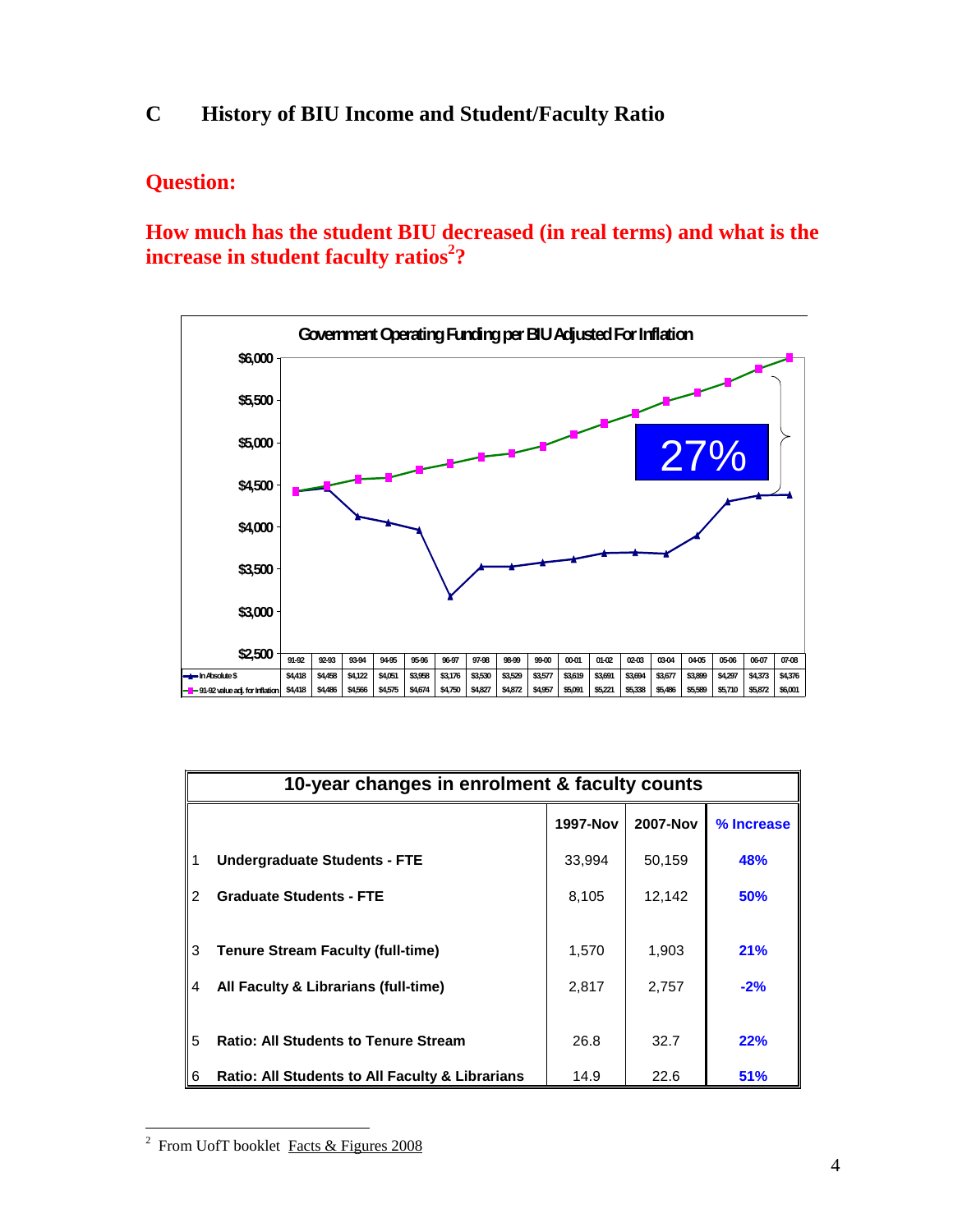# **C History of BIU Income and Student/Faculty Ratio**

# **Question:**

**How much has the student BIU decreased (in real terms) and what is the**   $\boldsymbol{\hat{\theta}}$  increase in student faculty ratios $^2$ ?



|          | 10-year changes in enrolment & faculty counts                                    |                |                |              |  |  |  |  |  |  |
|----------|----------------------------------------------------------------------------------|----------------|----------------|--------------|--|--|--|--|--|--|
|          |                                                                                  | 1997-Nov       | 2007-Nov       | % Increase   |  |  |  |  |  |  |
|          | <b>Undergraduate Students - FTE</b>                                              | 33,994         | 50,159         | 48%          |  |  |  |  |  |  |
| 2        | <b>Graduate Students - FTE</b>                                                   | 8,105          | 12,142         | 50%          |  |  |  |  |  |  |
| l 3<br>4 | <b>Tenure Stream Faculty (full-time)</b><br>All Faculty & Librarians (full-time) | 1,570<br>2,817 | 1,903<br>2,757 | 21%<br>$-2%$ |  |  |  |  |  |  |
| 5        | <b>Ratio: All Students to Tenure Stream</b>                                      | 26.8           | 32.7           | 22%          |  |  |  |  |  |  |
| 6        | <b>Ratio: All Students to All Faculty &amp; Librarians</b>                       | 14.9           | 22.6           | 51%          |  |  |  |  |  |  |

<sup>&</sup>lt;sup>2</sup> From UofT booklet Facts & Figures 2008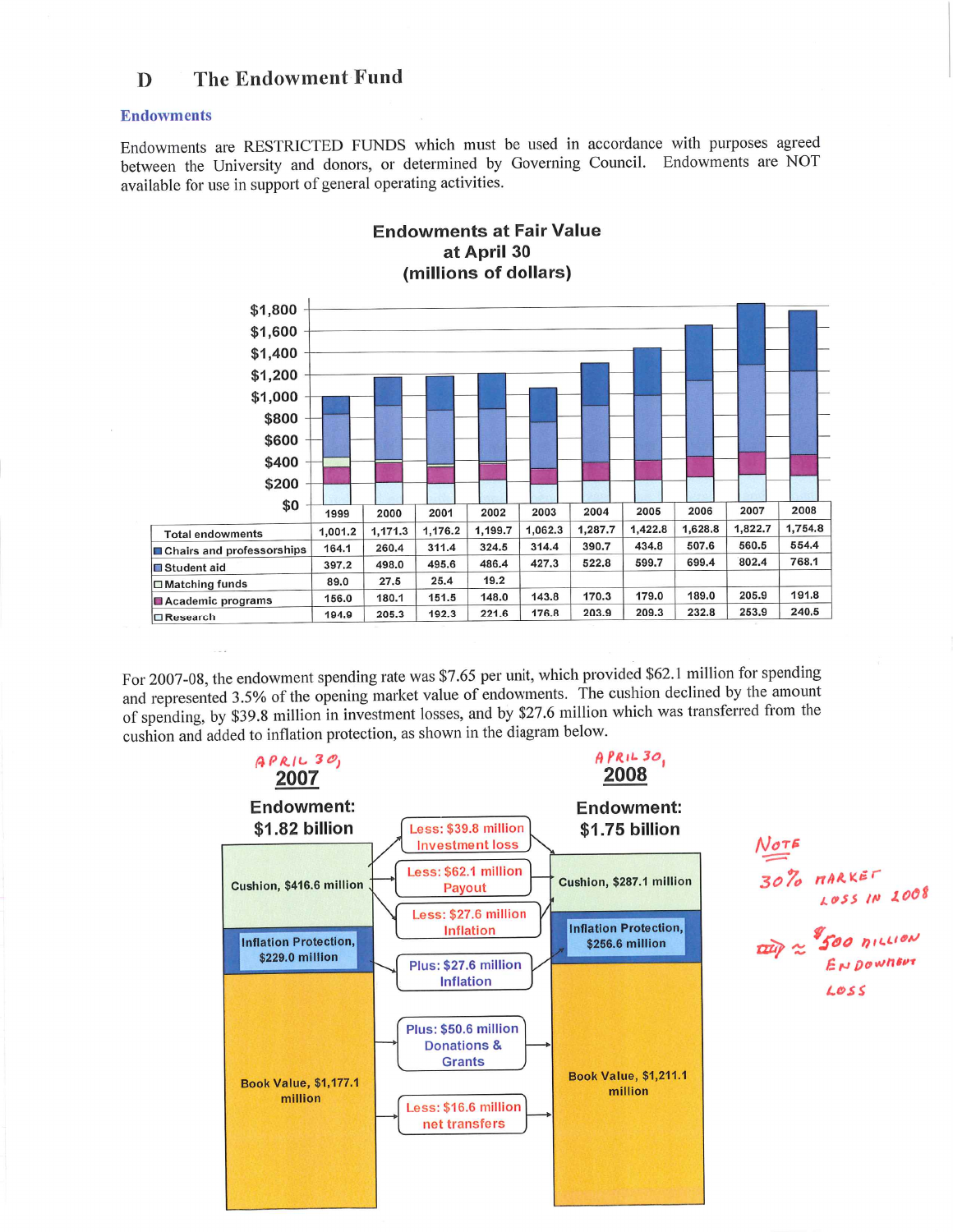#### The Endowment Fund  $\mathbf{D}$

#### **Endowments**

Endowments are RESTRICTED FUNDS which must be used in accordance with purposes agreed between the University and donors, or determined by Governing Council. Endowments are NOT available for use in support of general operating activities.



#### **Endowments at Fair Value** at April 30 (millions of dollars)

For 2007-08, the endowment spending rate was \$7.65 per unit, which provided \$62.1 million for spending and represented 3.5% of the opening market value of endowments. The cushion declined by the amount of spending, by \$39.8 million in investment losses, and by \$27.6 million which was transferred from the cushion and added to inflation protection, as shown in the diagram below.

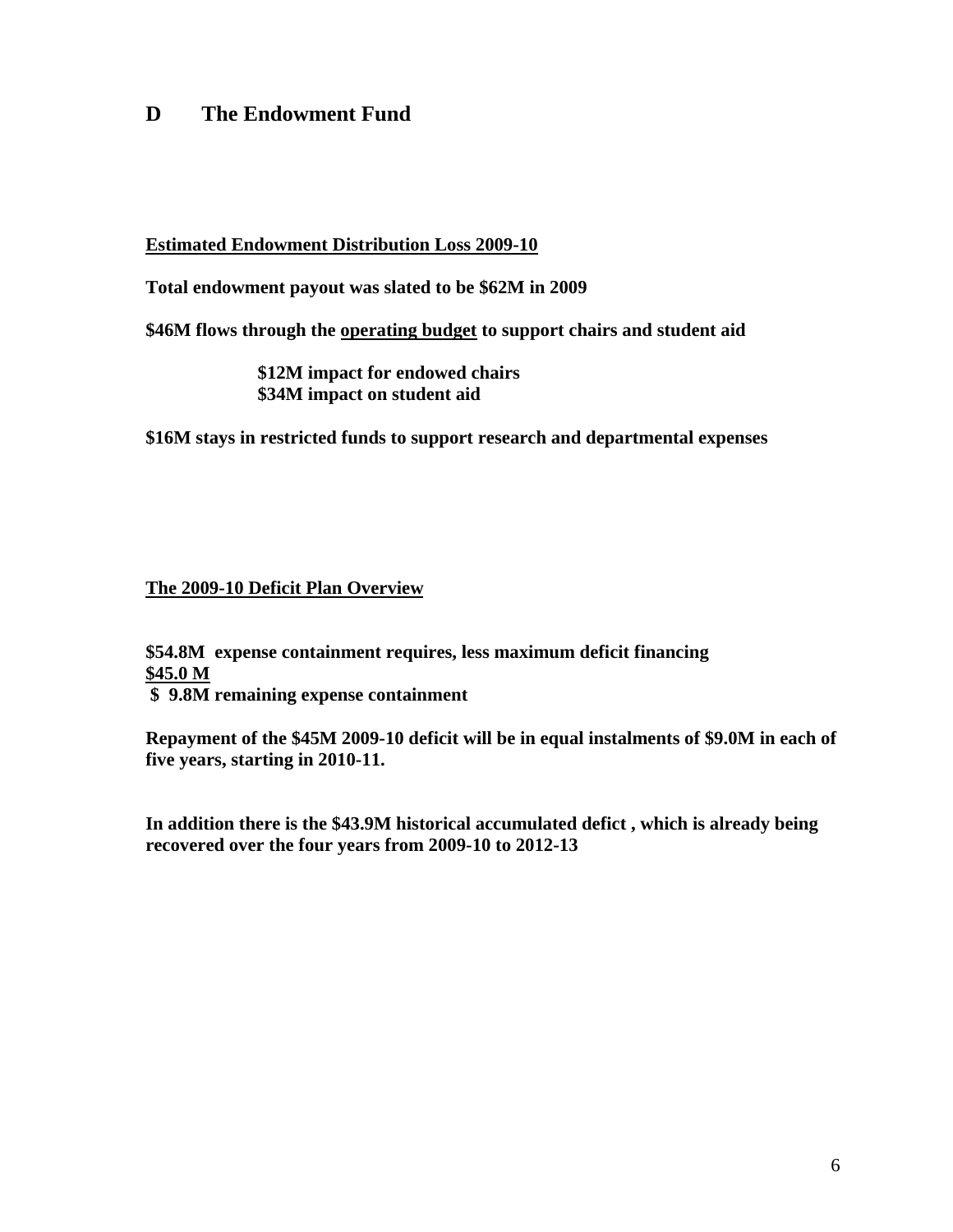# **D The Endowment Fund**

#### **Estimated Endowment Distribution Loss 2009-10**

**Total endowment payout was slated to be \$62M in 2009** 

**\$46M flows through the operating budget to support chairs and student aid** 

 **\$12M impact for endowed chairs \$34M impact on student aid** 

**\$16M stays in restricted funds to support research and departmental expenses** 

#### **The 2009-10 Deficit Plan Overview**

**\$54.8M expense containment requires, less maximum deficit financing \$45.0 M** 

 **\$ 9.8M remaining expense containment** 

**Repayment of the \$45M 2009-10 deficit will be in equal instalments of \$9.0M in each of five years, starting in 2010-11.** 

**In addition there is the \$43.9M historical accumulated defict , which is already being recovered over the four years from 2009-10 to 2012-13**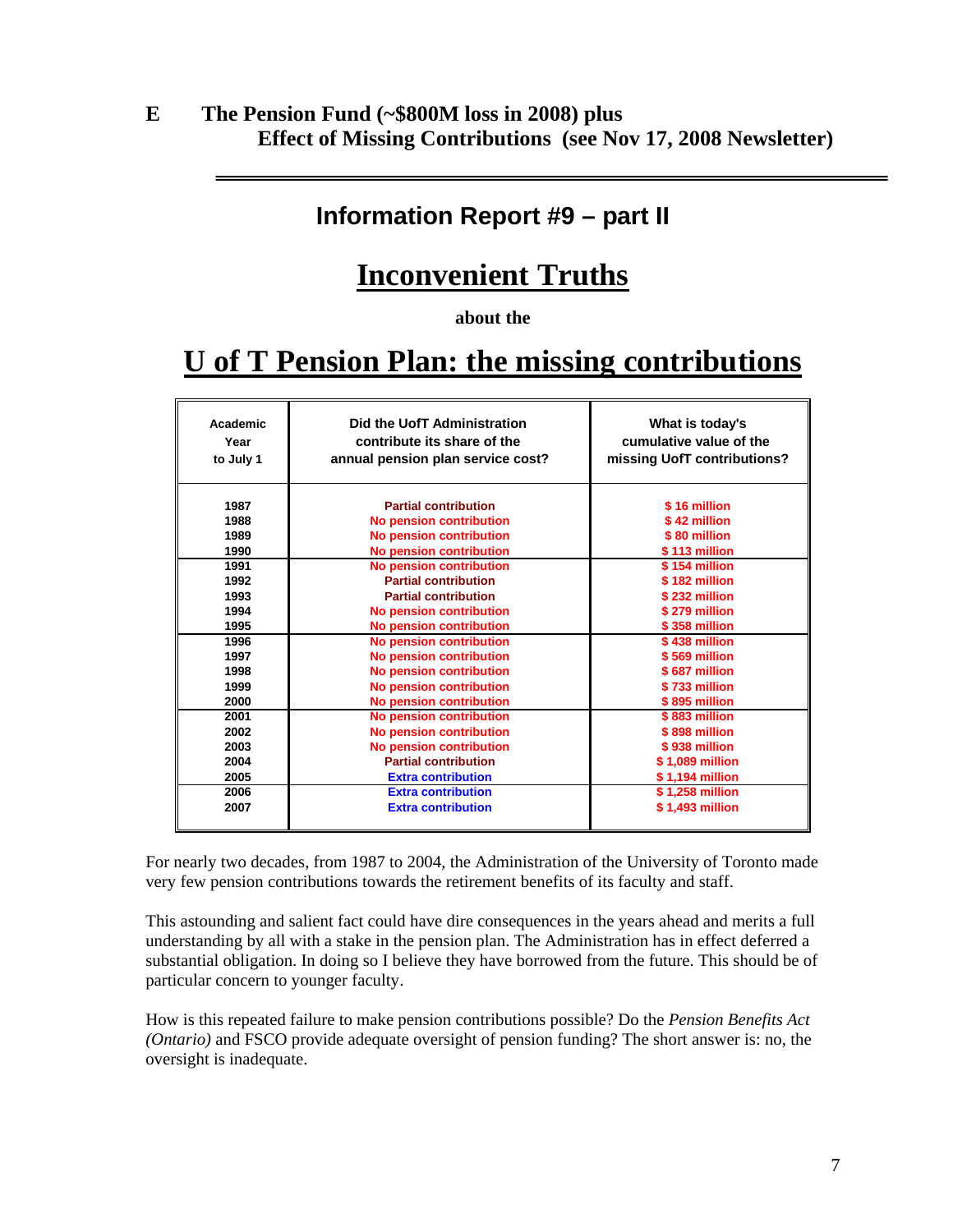# **E The Pension Fund (~\$800M loss in 2008) plus Effect of Missing Contributions (see Nov 17, 2008 Newsletter)**

# **Information Report #9 – part II**

# **Inconvenient Truths**

**about the** 

# **U of T Pension Plan: the missing contributions**

| Academic                                             | Did the UofT Administration                                                                                                                                                                                                                         | What is today's                                                                                                             |
|------------------------------------------------------|-----------------------------------------------------------------------------------------------------------------------------------------------------------------------------------------------------------------------------------------------------|-----------------------------------------------------------------------------------------------------------------------------|
| Year                                                 | contribute its share of the                                                                                                                                                                                                                         | cumulative value of the                                                                                                     |
| to July 1                                            | annual pension plan service cost?                                                                                                                                                                                                                   | missing UofT contributions?                                                                                                 |
| 1987                                                 | <b>Partial contribution</b>                                                                                                                                                                                                                         | \$16 million                                                                                                                |
| 1988                                                 | <b>No pension contribution</b>                                                                                                                                                                                                                      | \$42 million                                                                                                                |
| 1989                                                 | <b>No pension contribution</b>                                                                                                                                                                                                                      | \$80 million                                                                                                                |
| 1990                                                 | <b>No pension contribution</b>                                                                                                                                                                                                                      | \$113 million                                                                                                               |
| 1991                                                 | No pension contribution                                                                                                                                                                                                                             | \$154 million                                                                                                               |
| 1992                                                 | <b>Partial contribution</b>                                                                                                                                                                                                                         | \$182 million                                                                                                               |
| 1993                                                 | <b>Partial contribution</b>                                                                                                                                                                                                                         | \$232 million                                                                                                               |
| 1994                                                 | <b>No pension contribution</b>                                                                                                                                                                                                                      | \$279 million                                                                                                               |
| 1995                                                 | <b>No pension contribution</b>                                                                                                                                                                                                                      | \$358 million                                                                                                               |
| 1996                                                 | <b>No pension contribution</b>                                                                                                                                                                                                                      | \$438 million                                                                                                               |
| 1997                                                 | No pension contribution                                                                                                                                                                                                                             | \$569 million                                                                                                               |
| 1998                                                 | <b>No pension contribution</b>                                                                                                                                                                                                                      | \$687 million                                                                                                               |
| 1999<br>2000                                         | <b>No pension contribution</b>                                                                                                                                                                                                                      | \$733 million<br>\$895 million                                                                                              |
| 2001<br>2002<br>2003<br>2004<br>2005<br>2006<br>2007 | <b>No pension contribution</b><br><b>No pension contribution</b><br>No pension contribution<br><b>No pension contribution</b><br><b>Partial contribution</b><br><b>Extra contribution</b><br><b>Extra contribution</b><br><b>Extra contribution</b> | \$883 million<br>\$898 million<br>\$938 million<br>\$1,089 million<br>\$1,194 million<br>\$1,258 million<br>\$1,493 million |

For nearly two decades, from 1987 to 2004, the Administration of the University of Toronto made very few pension contributions towards the retirement benefits of its faculty and staff.

This astounding and salient fact could have dire consequences in the years ahead and merits a full understanding by all with a stake in the pension plan. The Administration has in effect deferred a substantial obligation. In doing so I believe they have borrowed from the future. This should be of particular concern to younger faculty.

How is this repeated failure to make pension contributions possible? Do the *Pension Benefits Act (Ontario)* and FSCO provide adequate oversight of pension funding? The short answer is: no, the oversight is inadequate.

7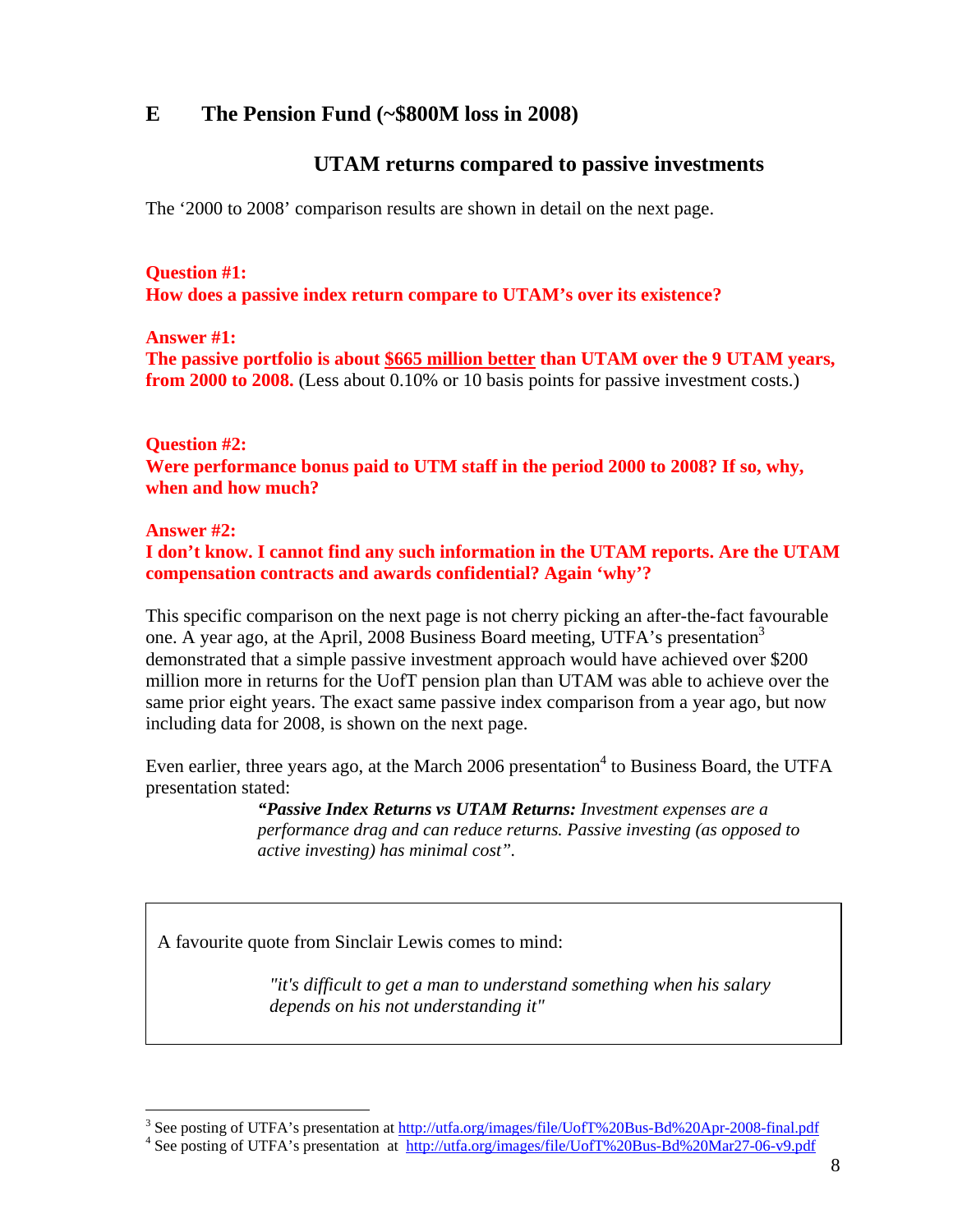# **E The Pension Fund (~\$800M loss in 2008)**

## **UTAM returns compared to passive investments**

The '2000 to 2008' comparison results are shown in detail on the next page.

**Question #1: How does a passive index return compare to UTAM's over its existence?** 

**Answer #1: The passive portfolio is about \$665 million better than UTAM over the 9 UTAM years, from 2000 to 2008.** (Less about 0.10% or 10 basis points for passive investment costs.)

**Question #2:** 

**Were performance bonus paid to UTM staff in the period 2000 to 2008? If so, why, when and how much?** 

**Answer #2:** 

 $\overline{a}$ 

**I don't know. I cannot find any such information in the UTAM reports. Are the UTAM compensation contracts and awards confidential? Again 'why'?** 

This specific comparison on the next page is not cherry picking an after-the-fact favourable one. A year ago, at the April, 2008 Business Board meeting, UTFA's presentation<sup>3</sup> demonstrated that a simple passive investment approach would have achieved over \$200 million more in returns for the UofT pension plan than UTAM was able to achieve over the same prior eight years. The exact same passive index comparison from a year ago, but now including data for 2008, is shown on the next page.

Even earlier, three years ago, at the March 2006 presentation<sup>4</sup> to Business Board, the UTFA presentation stated:

> *"Passive Index Returns vs UTAM Returns: Investment expenses are a performance drag and can reduce returns. Passive investing (as opposed to active investing) has minimal cost".*

A favourite quote from Sinclair Lewis comes to mind:

*"it's difficult to get a man to understand something when his salary depends on his not understanding it"* 

<sup>&</sup>lt;sup>3</sup> See posting of UTFA's presentation at  $\frac{http://utfa.org/images/file/Uoff%20Bus-Bd%20Apr-2008-final.pdf}{\text{4 So position of UTEA's presentation at <a href="http://utfa.org/images/file/UoffW20Bus-Bd%20Apr-2008-final.pdf}{http://utfa.org/images/file/UoffW20Bus-Bd%20Apr-2008-final.pdf}</a>$ 

<sup>&</sup>lt;sup>4</sup> See posting of UTFA's presentation at http://utfa.org/images/file/UofT%20Bus-Bd%20Mar27-06-v9.pdf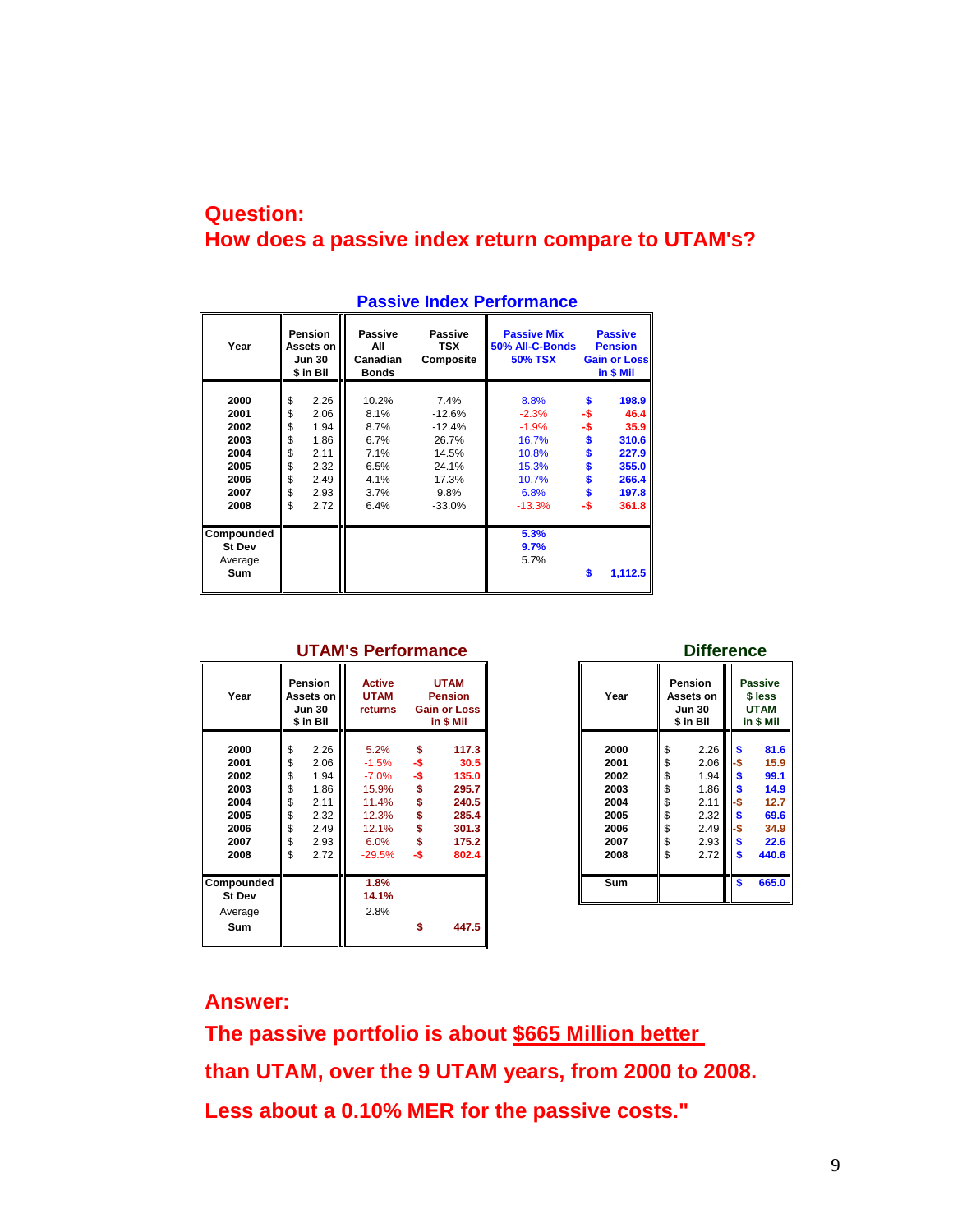# **Question: How does a passive index return compare to UTAM's?**

| Year                                                                 | <b>Pension</b><br>Assets on<br><b>Jun 30</b><br>\$ in Bil |                                                                      | Passive<br>Passive<br>All<br><b>TSX</b><br>Canadian<br>Composite<br><b>Bonds</b> |                                                                                      | <b>Passive Mix</b><br>50% All-C-Bonds<br><b>50% TSX</b>                            | <b>Passive</b><br><b>Pension</b><br><b>Gain or Loss</b><br>in \$ Mil |                                                                             |
|----------------------------------------------------------------------|-----------------------------------------------------------|----------------------------------------------------------------------|----------------------------------------------------------------------------------|--------------------------------------------------------------------------------------|------------------------------------------------------------------------------------|----------------------------------------------------------------------|-----------------------------------------------------------------------------|
| 2000<br>2001<br>2002<br>2003<br>2004<br>2005<br>2006<br>2007<br>2008 | \$<br>\$<br>\$<br>\$<br>\$<br>\$<br>\$<br>\$<br>\$        | 2.26<br>2.06<br>1.94<br>1.86<br>2.11<br>2.32<br>2.49<br>2.93<br>2.72 | 10.2%<br>8.1%<br>8.7%<br>6.7%<br>7.1%<br>6.5%<br>4.1%<br>3.7%<br>6.4%            | 7.4%<br>$-12.6%$<br>$-12.4%$<br>26.7%<br>14.5%<br>24.1%<br>17.3%<br>9.8%<br>$-33.0%$ | 8.8%<br>$-2.3%$<br>$-1.9%$<br>16.7%<br>10.8%<br>15.3%<br>10.7%<br>6.8%<br>$-13.3%$ | \$<br>-\$<br>-\$<br>\$<br>\$<br>\$<br>-\$                            | 198.9<br>46.4<br>35.9<br>310.6<br>227.9<br>355.0<br>266.4<br>197.8<br>361.8 |
| Compounded<br><b>St Dev</b><br>Average<br>Sum                        |                                                           |                                                                      |                                                                                  |                                                                                      | 5.3%<br>9.7%<br>5.7%                                                               | S                                                                    | 1,112.5                                                                     |

#### **Passive Index Performance**

| Year                                                                 |                                                    | Pension<br><b>Active</b><br><b>UTAM</b><br>Assets on III<br>Year<br><b>UTAM</b><br><b>Pension</b><br><b>Jun 30</b><br><b>Gain or Loss</b><br>returns<br>\$ in Bil<br>in \$ Mil |                                                                                     |                         | Pension<br>Assets on<br><b>Jun 30</b><br>\$ in Bil                           | <b>Passive</b><br>\$ less<br><b>UTAM</b><br>in \$ Mil |                                                                      |                                                    |                                                                                                                                |                                       |                                                                       |
|----------------------------------------------------------------------|----------------------------------------------------|--------------------------------------------------------------------------------------------------------------------------------------------------------------------------------|-------------------------------------------------------------------------------------|-------------------------|------------------------------------------------------------------------------|-------------------------------------------------------|----------------------------------------------------------------------|----------------------------------------------------|--------------------------------------------------------------------------------------------------------------------------------|---------------------------------------|-----------------------------------------------------------------------|
| 2000<br>2001<br>2002<br>2003<br>2004<br>2005<br>2006<br>2007<br>2008 | \$<br>\$<br>\$<br>\$<br>\$<br>\$<br>\$<br>\$<br>\$ | 2.26<br>2.06<br>1.94<br>1.86<br>2.11<br>2.32<br>2.49<br>2.93<br>2.72                                                                                                           | 5.2%<br>$-1.5%$<br>$-7.0\%$<br>15.9%<br>11.4%<br>12.3%<br>12.1%<br>6.0%<br>$-29.5%$ | \$<br>-\$<br>-\$<br>-\$ | 117.3<br>30.5<br>135.0<br>295.7<br>240.5<br>285.4<br>301.3<br>175.2<br>802.4 |                                                       | 2000<br>2001<br>2002<br>2003<br>2004<br>2005<br>2006<br>2007<br>2008 | \$<br>\$<br>\$<br>\$<br>\$<br>\$<br>\$<br>\$<br>\$ | $2.26$ $\parallel$ \$<br>2.06<br>1.94<br>$1.86$ $\frac{5}{5}$<br>2.11<br>2.32<br>$2.49$ $-$ \$<br>$2.93$ $\frac{8}{5}$<br>2.72 | II-S<br>II S<br>II-S<br>II S<br>III S | 81.6<br>15.9<br>99.1<br>14.9<br>12.7<br>69.6<br>34.9<br>22.6<br>440.6 |
| Compounded<br><b>St Dev</b><br>Average                               |                                                    |                                                                                                                                                                                | 1.8%<br>14.1%<br>2.8%                                                               |                         |                                                                              |                                                       | Sum                                                                  |                                                    |                                                                                                                                | \$                                    | 665.0                                                                 |
| Sum                                                                  |                                                    |                                                                                                                                                                                |                                                                                     | \$                      | 447.5                                                                        |                                                       |                                                                      |                                                    |                                                                                                                                |                                       |                                                                       |

# **UTAM's Performance Difference Pension Active UTAM Pension Passive Jun 30 returns Gain or Loss Jun 30 UTAM \$ in Bil in \$ Mil \$ in Bil in \$ Mil**

## **Answer:**

**The passive portfolio is about \$665 Million better than UTAM, over the 9 UTAM years, from 2000 to 2008. Less about a 0.10% MER for the passive costs."**